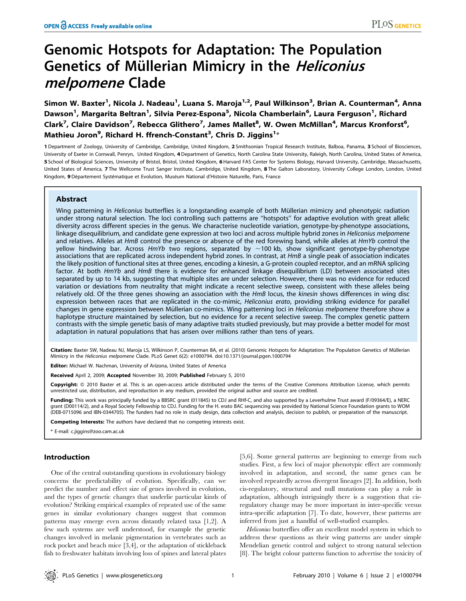# Genomic Hotspots for Adaptation: The Population Genetics of Müllerian Mimicry in the Heliconius melpomene Clade

Simon W. Baxter<sup>1</sup>, Nicola J. Nadeau<sup>1</sup>, Luana S. Maroja<sup>1,2</sup>, Paul Wilkinson<sup>3</sup>, Brian A. Counterman<sup>4</sup>, Anna Dawson<sup>1</sup>, Margarita Beltran<sup>1</sup>, Silvia Perez-Espona<sup>5</sup>, Nicola Chamberlain<sup>6</sup>, Laura Ferguson<sup>1</sup>, Richard Clark<sup>7</sup>, Claire Davidson<sup>7</sup>, Rebecca Glithero<sup>7</sup>, James Mallet<sup>8</sup>, W. Owen McMillan<sup>4</sup>, Marcus Kronforst<sup>6</sup>, Mathieu Joron<sup>9</sup>, Richard H. ffrench-Constant<sup>3</sup>, Chris D. Jiggins<sup>1\*</sup>

1 Department of Zoology, University of Cambridge, Cambridge, United Kingdom, 2 Smithsonian Tropical Research Institute, Balboa, Panama, 3 School of Biosciences, University of Exeter in Cornwall, Penryn, United Kingdom, 4Department of Genetics, North Carolina State University, Raleigh, North Carolina, United States of America, 5 School of Biological Sciences, University of Bristol, Bristol, United Kingdom, 6 Harvard FAS Center for Systems Biology, Harvard University, Cambridge, Massachusetts, United States of America, 7 The Wellcome Trust Sanger Institute, Cambridge, United Kingdom, 8 The Galton Laboratory, University College London, London, United Kingdom, 9 Département Systématique et Evolution, Muséum National d'Histoire Naturelle, Paris, France

# Abstract

Wing patterning in Heliconius butterflies is a longstanding example of both Müllerian mimicry and phenotypic radiation under strong natural selection. The loci controlling such patterns are ''hotspots'' for adaptive evolution with great allelic diversity across different species in the genus. We characterise nucleotide variation, genotype-by-phenotype associations, linkage disequilibrium, and candidate gene expression at two loci and across multiple hybrid zones in Heliconius melpomene and relatives. Alleles at HmB control the presence or absence of the red forewing band, while alleles at HmYb control the yellow hindwing bar. Across HmYb two regions, separated by  $\sim$ 100 kb, show significant genotype-by-phenotype associations that are replicated across independent hybrid zones. In contrast, at HmB a single peak of association indicates the likely position of functional sites at three genes, encoding a kinesin, a G-protein coupled receptor, and an mRNA splicing factor. At both HmYb and HmB there is evidence for enhanced linkage disequilibrium (LD) between associated sites separated by up to 14 kb, suggesting that multiple sites are under selection. However, there was no evidence for reduced variation or deviations from neutrality that might indicate a recent selective sweep, consistent with these alleles being relatively old. Of the three genes showing an association with the HmB locus, the kinesin shows differences in wing disc expression between races that are replicated in the co-mimic, Heliconius erato, providing striking evidence for parallel changes in gene expression between Müllerian co-mimics. Wing patterning loci in Heliconius melpomene therefore show a haplotype structure maintained by selection, but no evidence for a recent selective sweep. The complex genetic pattern contrasts with the simple genetic basis of many adaptive traits studied previously, but may provide a better model for most adaptation in natural populations that has arisen over millions rather than tens of years.

Citation: Baxter SW, Nadeau NJ, Maroja LS, Wilkinson P, Counterman BA, et al. (2010) Genomic Hotspots for Adaptation: The Population Genetics of Müllerian Mimicry in the Heliconius melpomene Clade. PLoS Genet 6(2): e1000794. doi:10.1371/journal.pgen.1000794

Editor: Michael W. Nachman, University of Arizona, United States of America

Received April 2, 2009; Accepted November 30, 2009; Published February 5, 2010

Copyright: © 2010 Baxter et al. This is an open-access article distributed under the terms of the Creative Commons Attribution License, which permits unrestricted use, distribution, and reproduction in any medium, provided the original author and source are credited.

Funding: This work was principally funded by a BBSRC grant (011845) to CDJ and RHf-C, and also supported by a Leverhulme Trust award (F/09364/E), a NERC grant (D00114/2), and a Royal Society Fellowship to CDJ. Funding for the H. erato BAC sequencing was provided by National Science Foundation grants to WOM (DEB-0715096 and IBN-0344705). The funders had no role in study design, data collection and analysis, decision to publish, or preparation of the manuscript.

Competing Interests: The authors have declared that no competing interests exist.

\* E-mail: c.jiggins@zoo.cam.ac.uk

# Introduction

One of the central outstanding questions in evolutionary biology concerns the predictability of evolution. Specifically, can we predict the number and effect size of genes involved in evolution, and the types of genetic changes that underlie particular kinds of evolution? Striking empirical examples of repeated use of the same genes in similar evolutionary changes suggest that common patterns may emerge even across distantly related taxa [1,2]. A few such systems are well understood, for example the genetic changes involved in melanic pigmentation in vertebrates such as rock pocket and beach mice [3,4], or the adaptation of stickleback fish to freshwater habitats involving loss of spines and lateral plates

[5,6]. Some general patterns are beginning to emerge from such studies. First, a few loci of major phenotypic effect are commonly involved in adaptation, and second, the same genes can be involved repeatedly across divergent lineages [2]. In addition, both cis-regulatory, structural and null mutations can play a role in adaptation, although intriguingly there is a suggestion that cisregulatory change may be more important in inter-specific versus intra-specific adaptation [7]. To date, however, these patterns are inferred from just a handful of well-studied examples.

Heliconius butterflies offer an excellent model system in which to address these questions as their wing patterns are under simple Mendelian genetic control and subject to strong natural selection [8]. The bright colour patterns function to advertise the toxicity of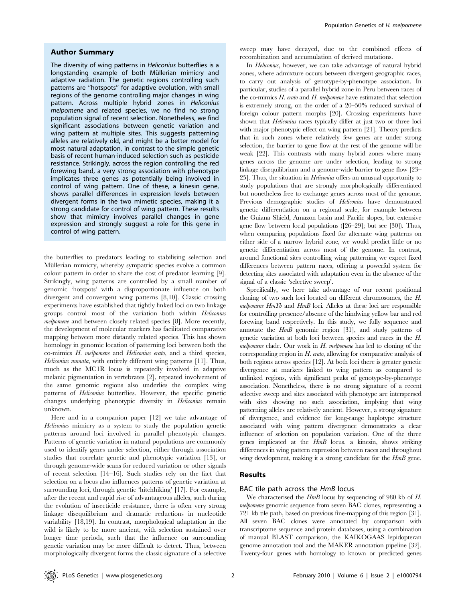#### Author Summary

The diversity of wing patterns in Heliconius butterflies is a longstanding example of both Müllerian mimicry and adaptive radiation. The genetic regions controlling such patterns are ''hotspots'' for adaptive evolution, with small regions of the genome controlling major changes in wing pattern. Across multiple hybrid zones in Heliconius melpomene and related species, we no find no strong population signal of recent selection. Nonetheless, we find significant associations between genetic variation and wing pattern at multiple sites. This suggests patterning alleles are relatively old, and might be a better model for most natural adaptation, in contrast to the simple genetic basis of recent human-induced selection such as pesticide resistance. Strikingly, across the region controlling the red forewing band, a very strong association with phenotype implicates three genes as potentially being involved in control of wing pattern. One of these, a kinesin gene, shows parallel differences in expression levels between divergent forms in the two mimetic species, making it a strong candidate for control of wing pattern. These results show that mimicry involves parallel changes in gene expression and strongly suggest a role for this gene in control of wing pattern.

the butterflies to predators leading to stabilising selection and Müllerian mimicry, whereby sympatric species evolve a common colour pattern in order to share the cost of predator learning [9]. Strikingly, wing patterns are controlled by a small number of genomic 'hotspots' with a disproportionate influence on both divergent and convergent wing patterns [8,10]. Classic crossing experiments have established that tightly linked loci on two linkage groups control most of the variation both within Heliconius melpomene and between closely related species [8]. More recently, the development of molecular markers has facilitated comparative mapping between more distantly related species. This has shown homology in genomic location of patterning loci between both the co-mimics H. melpomene and Heliconius erato, and a third species, Heliconius numata, with entirely different wing patterns [11]. Thus, much as the MC1R locus is repeatedly involved in adaptive melanic pigmentation in vertebrates [2], repeated involvement of the same genomic regions also underlies the complex wing patterns of Heliconius butterflies. However, the specific genetic changes underlying phenotypic diversity in Heliconius remain unknown.

Here and in a companion paper [12] we take advantage of Heliconius mimicry as a system to study the population genetic patterns around loci involved in parallel phenotypic changes. Patterns of genetic variation in natural populations are commonly used to identify genes under selection, either through association studies that correlate genetic and phenotypic variation [13], or through genome-wide scans for reduced variation or other signals of recent selection [14–16]. Such studies rely on the fact that selection on a locus also influences patterns of genetic variation at surrounding loci, through genetic 'hitchhiking' [17]. For example, after the recent and rapid rise of advantageous alleles, such during the evolution of insecticide resistance, there is often very strong linkage disequilibrium and dramatic reductions in nucleotide variability [18,19]. In contrast, morphological adaptation in the wild is likely to be more ancient, with selection sustained over longer time periods, such that the influence on surrounding genetic variation may be more difficult to detect. Thus, between morphologically divergent forms the classic signature of a selective

sweep may have decayed, due to the combined effects of recombination and accumulation of derived mutations.

In Heliconius, however, we can take advantage of natural hybrid zones, where admixture occurs between divergent geographic races, to carry out analysis of genotype-by-phenotype association. In particular, studies of a parallel hybrid zone in Peru between races of the co-mimics  $H$ , erato and  $H$ , melpomene have estimated that selection is extremely strong, on the order of a 20–50% reduced survival of foreign colour pattern morphs [20]. Crossing experiments have shown that *Heliconius* races typically differ at just two or three loci with major phenotypic effect on wing pattern [21]. Theory predicts that in such zones where relatively few genes are under strong selection, the barrier to gene flow at the rest of the genome will be weak [22]. This contrasts with many hybrid zones where many genes across the genome are under selection, leading to strong linkage disequilibrium and a genome-wide barrier to gene flow [23– 25]. Thus, the situation in Heliconius offers an unusual opportunity to study populations that are strongly morphologically differentiated but nonetheless free to exchange genes across most of the genome. Previous demographic studies of Heliconius have demonstrated genetic differentiation on a regional scale, for example between the Guiana Shield, Amazon basin and Pacific slopes, but extensive gene flow between local populations ([26–29]; but see [30]). Thus, when comparing populations fixed for alternate wing patterns on either side of a narrow hybrid zone, we would predict little or no genetic differentiation across most of the genome. In contrast, around functional sites controlling wing patterning we expect fixed differences between pattern races, offering a powerful system for detecting sites associated with adaptation even in the absence of the signal of a classic 'selective sweep'.

Specifically, we here take advantage of our recent positional cloning of two such loci located on different chromosomes, the H. melpomene HmYb and HmB loci. Alleles at these loci are responsible for controlling presence/absence of the hindwing yellow bar and red forewing band respectively. In this study, we fully sequence and annotate the HmB genomic region [31], and study patterns of genetic variation at both loci between species and races in the H. melpomene clade. Our work in  $H$ . melpomene has led to cloning of the corresponding region in H. erato, allowing for comparative analysis of both regions across species [12]. At both loci there is greater genetic divergence at markers linked to wing pattern as compared to unlinked regions, with significant peaks of genotype-by-phenotype association. Nonetheless, there is no strong signature of a recent selective sweep and sites associated with phenotype are interspersed with sites showing no such association, implying that wing patterning alleles are relatively ancient. However, a strong signature of divergence, and evidence for long-range haplotype structure associated with wing pattern divergence demonstrates a clear influence of selection on population variation. One of the three genes implicated at the HmB locus, a kinesin, shows striking differences in wing pattern expression between races and throughout wing development, making it a strong candidate for the  $HmB$  gene.

### Results

#### BAC tile path across the HmB locus

We characterised the  $HmB$  locus by sequencing of 980 kb of H. melpomene genomic sequence from seven BAC clones, representing a 721 kb tile path, based on previous fine-mapping of this region [31]. All seven BAC clones were annotated by comparison with transcriptome sequence and protein databases, using a combination of manual BLAST comparison, the KAIKOGAAS lepidopteran genome annotation tool and the MAKER annotation pipeline [32]. Twenty-four genes with homology to known or predicted genes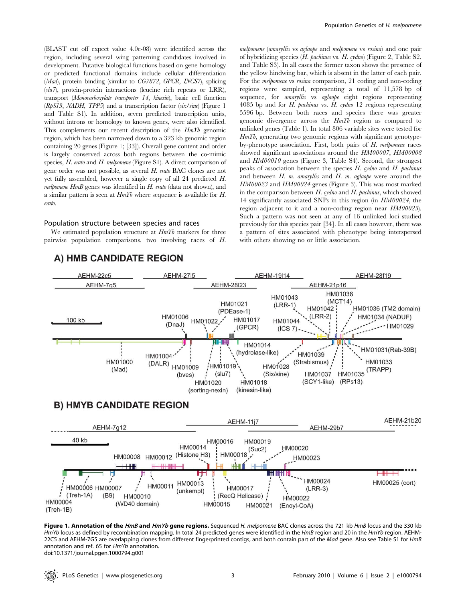(BLAST cut off expect value 4.0e-08) were identified across the region, including several wing patterning candidates involved in development. Putative biological functions based on gene homology or predicted functional domains include cellular differentiation (Mad), protein binding (similar to CG7872, GPCR, INCS7), splicing  $(s/u 7)$ , protein-protein interactions (leucine rich repeats or LRR), transport (Monocarboxylate transporter 14, kinesin), basic cell function  $(RpS13, MADH, TPP5)$  and a transcription factor  $(six/sine)$  (Figure 1) and Table S1). In addition, seven predicted transcription units, without introns or homology to known genes, were also identified. This complements our recent description of the HmYb genomic region, which has been narrowed down to a 323 kb genomic region containing 20 genes (Figure 1; [33]). Overall gene content and order is largely conserved across both regions between the co-mimic species, H. erato and H. melpomene (Figure S1). A direct comparison of gene order was not possible, as several H. erato BAC clones are not yet fully assembled, however a single copy of all 24 predicted H. melpomene HmB genes was identified in H. erato (data not shown), and a similar pattern is seen at  $HmTb$  where sequence is available for H. erato.

#### Population structure between species and races

We estimated population structure at  $HmYb$  markers for three pairwise population comparisons, two involving races of H. melpomene (amaryllis vs aglaope and melpomene vs rosina) and one pair of hybridizing species (H. pachinus vs. H. cydno) (Figure 2, Table S2, and Table S3). In all cases the former taxon shows the presence of the yellow hindwing bar, which is absent in the latter of each pair. For the melpomene vs rosina comparison, 21 coding and non-coding regions were sampled, representing a total of 11,578 bp of sequence, for *amaryllis* vs *aglaope* eight regions representing 4085 bp and for H. pachinus vs. H. cydno 12 regions representing 5596 bp. Between both races and species there was greater genomic divergence across the HmYb region as compared to unlinked genes (Table 1). In total 806 variable sites were tested for  $HmYb$ , generating two genomic regions with significant genotypeby-phenotype association. First, both pairs of H. melpomene races showed significant associations around the HM00007, HM00008 and HM00010 genes (Figure 3, Table S4). Second, the strongest peaks of association between the species  $H$ . cydno and  $H$ . pachinus and between  $H$ ,  $m$ , amaryllis and  $H$ ,  $m$ , aglaope were around the HM00023 and HM00024 genes (Figure 3). This was most marked in the comparison between  $H$ , cydno and  $H$ , pachinus, which showed 14 significantly associated SNPs in this region (in HM00024, the region adjacent to it and a non-coding region near HM00025). Such a pattern was not seen at any of 16 unlinked loci studied previously for this species pair [34]. In all cases however, there was a pattern of sites associated with phenotype being interspersed with others showing no or little association.



# A) HMB CANDIDATE REGION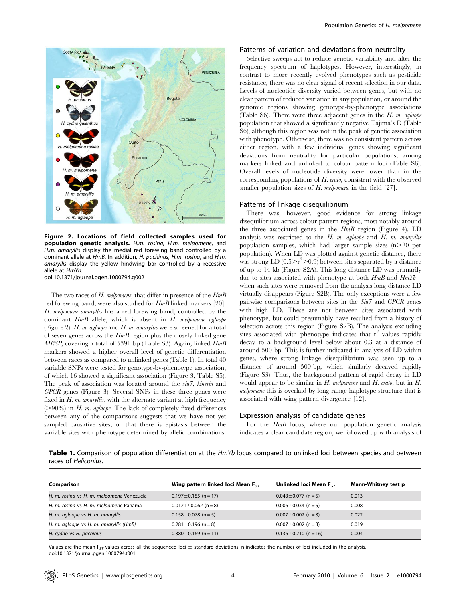

Figure 2. Locations of field collected samples used for population genetic analysis. H.m. rosina, H.m. melpomene, and H.m. amaryllis display the medial red forewing band controlled by a dominant allele at HmB. In addition, H. pachinus, H.m. rosina, and H.m. amaryllis display the yellow hindwing bar controlled by a recessive allele at HmYb.

doi:10.1371/journal.pgen.1000794.g002

The two races of H. melpomene, that differ in presence of the  $HmB$ red forewing band, were also studied for HmB linked markers [20]. H. melpomene amaryllis has a red forewing band, controlled by the dominant HmB allele, which is absent in H. melpomene aglaope (Figure 2). H. m. aglaope and H. m. amaryllis were screened for a total of seven genes across the  $HmB$  region plus the closely linked gene MRSP, covering a total of 5391 bp (Table S3). Again, linked  $HmB$ markers showed a higher overall level of genetic differentiation between races as compared to unlinked genes (Table 1). In total 40 variable SNPs were tested for genotype-by-phenotype association, of which 16 showed a significant association (Figure 3, Table S5). The peak of association was located around the slu7, kinesin and GPCR genes (Figure 3). Several SNPs in these three genes were fixed in  $H$ .  $m$ . amaryllis, with the alternate variant at high frequency  $(>90\%)$  in H. m. aglaope. The lack of completely fixed differences between any of the comparisons suggests that we have not yet sampled causative sites, or that there is epistasis between the variable sites with phenotype determined by allelic combinations.

#### Patterns of variation and deviations from neutrality

Selective sweeps act to reduce genetic variability and alter the frequency spectrum of haplotypes. However, interestingly, in contrast to more recently evolved phenotypes such as pesticide resistance, there was no clear signal of recent selection in our data. Levels of nucleotide diversity varied between genes, but with no clear pattern of reduced variation in any population, or around the genomic regions showing genotype-by-phenotype associations (Table S6). There were three adjacent genes in the  $H$ . m. aglaope population that showed a significantly negative Tajima's D (Table S6), although this region was not in the peak of genetic association with phenotype. Otherwise, there was no consistent pattern across either region, with a few individual genes showing significant deviations from neutrality for particular populations, among markers linked and unlinked to colour pattern loci (Table S6). Overall levels of nucleotide diversity were lower than in the corresponding populations of  $H$ , erato, consistent with the observed smaller population sizes of H. melpomene in the field [27].

#### Patterns of linkage disequilibrium

There was, however, good evidence for strong linkage disequilibrium across colour pattern regions, most notably around the three associated genes in the HmB region (Figure 4). LD analysis was restricted to the  $H$ . m. aglaope and  $H$ . m. amaryllis population samples, which had larger sample sizes  $(n>20$  per population). When LD was plotted against genetic distance, there was strong LD  $(0.5 > r^2 > 0.9)$  between sites separated by a distance of up to 14 kb (Figure S2A). This long distance LD was primarily due to sites associated with phenotype at both  $HmB$  and  $HmYb$  – when such sites were removed from the analysis long distance LD virtually disappears (Figure S2B). The only exceptions were a few pairwise comparisons between sites in the Slu7 and GPCR genes with high LD. These are not between sites associated with phenotype, but could presumably have resulted from a history of selection across this region (Figure S2B). The analysis excluding sites associated with phenotype indicates that  $r^2$  values rapidly decay to a background level below about 0.3 at a distance of around 500 bp. This is further indicated in analysis of LD within genes, where strong linkage disequilibrium was seen up to a distance of around 500 bp, which similarly decayed rapidly (Figure S3). Thus, the background pattern of rapid decay in LD would appear to be similar in  $H$ . melpomene and  $H$ . erato, but in  $H$ . melpomene this is overlaid by long-range haplotype structure that is associated with wing pattern divergence [12].

#### Expression analysis of candidate genes

For the HmB locus, where our population genetic analysis indicates a clear candidate region, we followed up with analysis of

Table 1. Comparison of population differentiation at the HmYb locus compared to unlinked loci between species and between races of Heliconius.

| <b>Comparison</b>                         | Wing pattern linked loci Mean FcT | Unlinked loci Mean $F_{ST}$ | Mann-Whitney test p |
|-------------------------------------------|-----------------------------------|-----------------------------|---------------------|
| H. m. rosina vs H. m. melpomene-Venezuela | $0.197 \pm 0.185$ (n = 17)        | $0.043 \pm 0.077$ (n = 5)   | 0.013               |
| H. m. rosina vs H. m. melpomene-Panama    | $0.0121 \pm 0.062$ (n = 8)        | $0.006 \pm 0.034$ (n = 5)   | 0.008               |
| H. m. aglaope vs H. m. amaryllis          | $0.158 \pm 0.078$ (n = 5)         | $0.007 \pm 0.002$ (n = 3)   | 0.022               |
| H. m. aglaope vs H. m. amaryllis (HmB)    | $0.281 \pm 0.196$ (n = 8)         | $0.007 \pm 0.002$ (n = 3)   | 0.019               |
| H. cydno vs H. pachinus                   | $0.380 \pm 0.169$ (n = 11)        | $0.136 \pm 0.210$ (n = 16)  | 0.004               |

Values are the mean F<sub>ST</sub> values across all the sequenced loci  $\pm$  standard deviations; n indicates the number of loci included in the analysis. doi:10.1371/journal.pgen.1000794.t001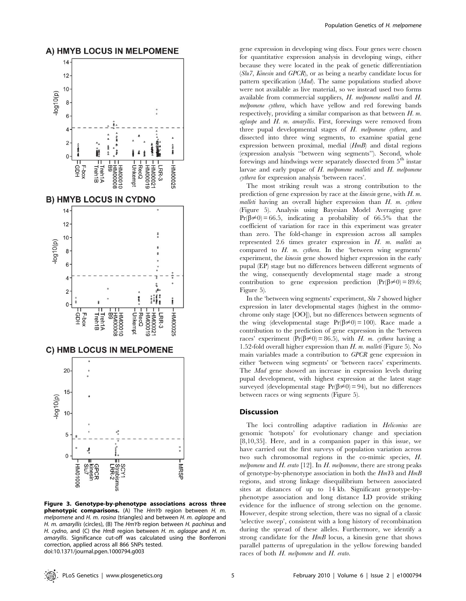

Figure 3. Genotype-by-phenotype associations across three phenotypic comparisons. (A) The HmYb region between H. m. melpomene and H. m. rosina (triangles) and between H. m. aglaope and H. m. amaryllis (circles), (B) The HmYb region between H. pachinus and H. cydno, and (C) the HmB region between H. m. aglaope and H. m. amaryllis. Significance cut-off was calculated using the Bonferroni correction, applied across all 866 SNPs tested. doi:10.1371/journal.pgen.1000794.g003

gene expression in developing wing discs. Four genes were chosen for quantitative expression analysis in developing wings, either because they were located in the peak of genetic differentiation (Slu7, Kinesin and GPCR), or as being a nearby candidate locus for pattern specification (Mad). The same populations studied above were not available as live material, so we instead used two forms available from commercial suppliers, H. melpomene malleti and H. melpomene cythera, which have yellow and red forewing bands respectively, providing a similar comparison as that between  $H$ .  $m$ .  $a$ glaope and  $H$ . m. amaryllis. First, forewings were removed from three pupal developmental stages of H. melpomene cythera, and dissected into three wing segments, to examine spatial gene expression between proximal, medial (HmB) and distal regions (expression analysis ''between wing segments''). Second, whole forewings and hindwings were separately dissected from 5<sup>th</sup> instar larvae and early pupae of  $H$ . melpomene malleti and  $H$ . melpomene cythera for expression analysis 'between races'.

The most striking result was a strong contribution to the prediction of gene expression by race at the kinesin gene, with H. m. malleti having an overall higher expression than  $H$ . m. cythera (Figure 5). Analysis using Bayesian Model Averaging gave  $Pr(\beta \neq 0) = 66.5$ , indicating a probability of 66.5% that the coefficient of variation for race in this experiment was greater than zero. The fold-change in expression across all samples represented 2.6 times greater expression in  $H$ .  $m$ . malleti as compared to H. m. cythera. In the 'between wing segments' experiment, the kinesin gene showed higher expression in the early pupal (EP) stage but no differences between different segments of the wing, consequently developmental stage made a strong contribution to gene expression prediction  $(Pr(\beta \neq 0) = 89.6;$ Figure 5).

In the 'between wing segments' experiment, Slu 7 showed higher expression in later developmental stages (highest in the ommochrome only stage [OO]), but no differences between segments of the wing (developmental stage  $Pr(\beta \neq 0) = 100$ ). Race made a contribution to the prediction of gene expression in the 'between races' experiment  $(\Pr(\beta \neq 0) = 86.5)$ , with H. m. cythera having a 1.52-fold overall higher expression than  $H$ . m. malleti (Figure 5). No main variables made a contribution to GPCR gene expression in either 'between wing segments' or 'between races' experiments. The Mad gene showed an increase in expression levels during pupal development, with highest expression at the latest stage surveyed (developmental stage  $Pr(\beta \neq 0) = 94$ ), but no differences between races or wing segments (Figure 5).

#### Discussion

The loci controlling adaptive radiation in Heliconius are genomic 'hotspots' for evolutionary change and speciation [8,10,35]. Here, and in a companion paper in this issue, we have carried out the first surveys of population variation across two such chromosomal regions in the co-mimic species, H. melpomene and  $H$ . erato [12]. In  $H$ . melpomene, there are strong peaks of genotype-by-phenotype association in both the  $HmYb$  and  $HmB$ regions, and strong linkage disequilibrium between associated sites at distances of up to 14 kb. Significant genotype-byphenotype association and long distance LD provide striking evidence for the influence of strong selection on the genome. However, despite strong selection, there was no signal of a classic 'selective sweep', consistent with a long history of recombination during the spread of these alleles. Furthermore, we identify a strong candidate for the  $HmB$  locus, a kinesin gene that shows parallel patterns of upregulation in the yellow forewing banded races of both H. melpomene and H. erato.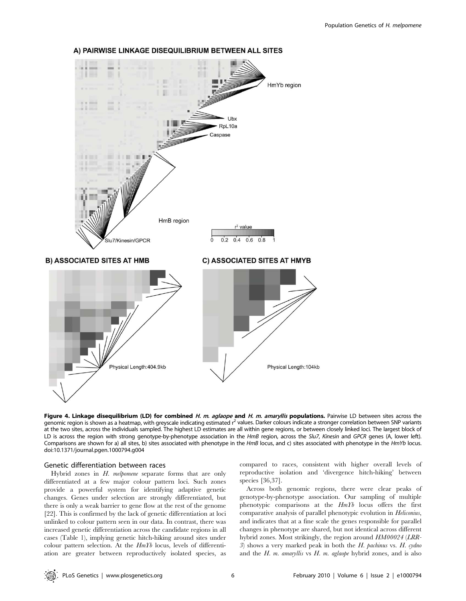

## A) PAIRWISE LINKAGE DISEQUILIBRIUM BETWEEN ALL SITES

Figure 4. Linkage disequilibrium (LD) for combined H. m. aglaope and H. m. amaryllis populations. Pairwise LD between sites across the genomic region is shown as a heatmap, with greyscale indicating estimated r<sup>2</sup> values. Darker colours indicate a stronger correlation between SNP variants at the two sites, across the individuals sampled. The highest LD estimates are all within gene regions, or between closely linked loci. The largest block of LD is across the region with strong genotype-by-phenotype association in the HmB region, across the Slu7, Kinesin and GPCR genes (A, lower left). Comparisons are shown for a) all sites, b) sites associated with phenotype in the HmB locus, and c) sites associated with phenotype in the HmYb locus. doi:10.1371/journal.pgen.1000794.g004

# Genetic differentiation between races

Hybrid zones in H. melpomene separate forms that are only differentiated at a few major colour pattern loci. Such zones provide a powerful system for identifying adaptive genetic changes. Genes under selection are strongly differentiated, but there is only a weak barrier to gene flow at the rest of the genome [22]. This is confirmed by the lack of genetic differentiation at loci unlinked to colour pattern seen in our data. In contrast, there was increased genetic differentiation across the candidate regions in all cases (Table 1), implying genetic hitch-hiking around sites under colour pattern selection. At the HmYb locus, levels of differentiation are greater between reproductively isolated species, as compared to races, consistent with higher overall levels of reproductive isolation and 'divergence hitch-hiking' between species [36,37].

Across both genomic regions, there were clear peaks of genotype-by-phenotype association. Our sampling of multiple phenotypic comparisons at the HmYb locus offers the first comparative analysis of parallel phenotypic evolution in Heliconius, and indicates that at a fine scale the genes responsible for parallel changes in phenotype are shared, but not identical across different hybrid zones. Most strikingly, the region around HM00024 (LRR-3) shows a very marked peak in both the H. pachinus vs. H. cydno and the  $H$ . m. amaryllis vs  $H$ . m. aglaope hybrid zones, and is also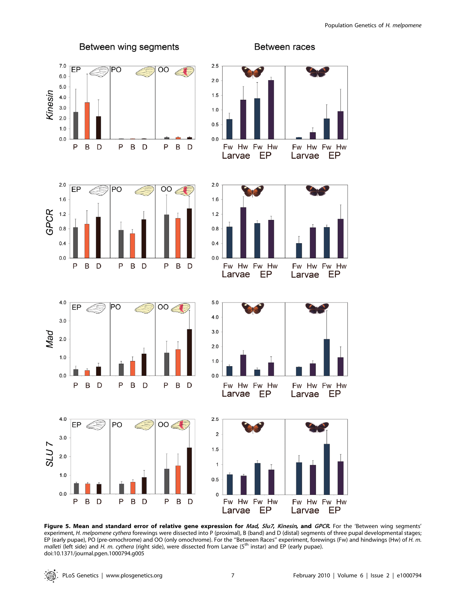

Fw Hw Fw Hw Larvae EP Fw Hw Fw Hw EP Larvae  $1.0$  $0.0$  $\mathsf{P}$  $\overline{B}$  $\mathsf{P}$ B D  $\mathsf{P}$ B D D Fw Hw Fw Hw Fw Hw Fw Hw EP EP Larvae Larvae  $2.5$ EP PO  $00 \triangle$  $\overline{\mathbf{c}}$  $1.5$  $\mathbf{1}$  $0.5$  $\mathsf 0$  $\mathsf{P}$  $\sf B$ D  $\mathsf{P}$  $\, {\bf B}$ D  $\mathsf{P}$ B D Fw Hw Fw Hw Fw Hw Fw Hw EP EP Larvae Larvae

Figure 5. Mean and standard error of relative gene expression for Mad, Slu7, Kinesin, and GPCR. For the 'Between wing segments' experiment, H. melpomene cythera forewings were dissected into P (proximal), B (band) and D (distal) segments of three pupal developmental stages; EP (early pupae), PO (pre-omochrome) and OO (only omochrome). For the ''Between Races'' experiment, forewings (Fw) and hindwings (Hw) of H. m. malleti (left side) and H. m. cythera (right side), were dissected from Larvae (5<sup>th</sup> instar) and EP (early pupae). doi:10.1371/journal.pgen.1000794.g005

 $0.0$ 

 $4.0$ 

 $3.0$ 

 $2.0$ 

 $1.0$ 

 $0.0$ 

SLU<sub>7</sub>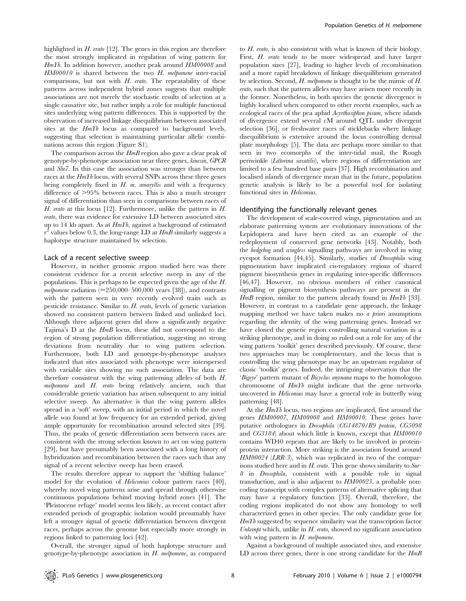highlighted in  $H$ . erato [12]. The genes in this region are therefore the most strongly implicated in regulation of wing pattern for HmYb. In addition however, another peak around HM00008 and HM00010 is shared between the two H. melpomene inter-racial comparisons, but not with  $H$ . erato. The repeatability of these patterns across independent hybrid zones suggests that multiple associations are not merely the stochastic results of selection at a single causative site, but rather imply a role for multiple functional sites underlying wing pattern differences. This is supported by the observation of increased linkage disequilibrium between associated sites at the HmYb locus as compared to background levels, suggesting that selection is maintaining particular allelic combinations across this region (Figure S1).

The comparison across the  $HmB$  region also gave a clear peak of genotype-by-phenotype association near three genes, kinesin, GPCR and Slu7. In this case the association was stronger than between races at the HmYb locus, with several SNPs across these three genes being completely fixed in  $H$ . m. amaryllis and with a frequency difference of  $>95\%$  between races. This is also a much stronger signal of differentiation than seen in comparisons between races of  $H.$  erato at this locus [12]. Furthermore, unlike the pattern in  $H.$ erato, there was evidence for extensive LD between associated sites up to 14 kb apart. As at  $HmTb$ , against a background of estimated  $\rm r^2$  values below 0.3, the long-range LD at  $\it Hm\bar{B}$  similarly suggests a haplotype structure maintained by selection.

#### Lack of a recent selective sweep

However, in neither genomic region studied here was there consistent evidence for a recent selective sweep in any of the populations. This is perhaps to be expected given the age of the H. melpomene radiation ( $\approx$ 250,000–500,000 years [38]), and contrasts with the pattern seen in very recently evolved traits such as pesticide resistance. Similar to H. erato, levels of genetic variation showed no consistent pattern between linked and unlinked loci. Although three adjacent genes did show a significantly negative Tajima's D at the HmB locus, these did not correspond to the region of strong population differentiation, suggesting no strong deviations from neutrality due to wing pattern selection. Furthermore, both LD and genotype-by-phenotype analyses indicated that sites associated with phenotype were interspersed with variable sites showing no such association. The data are therefore consistent with the wing patterning alleles of both H. melpomene and H. erato being relatively ancient, such that considerable genetic variation has arisen subsequent to any initial selective sweep. An alternative is that the wing pattern alleles spread in a 'soft' sweep, with an initial period in which the novel allele was found at low frequency for an extended period, giving ample opportunity for recombination around selected sites [39]. Thus, the peaks of genetic differentiation seen between races are consistent with the strong selection known to act on wing pattern [29], but have presumably been associated with a long history of hybridization and recombination between the races such that any signal of a recent selective sweep has been erased.

The results therefore appear to support the 'shifting balance' model for the evolution of *Heliconius* colour pattern races [40], whereby novel wing patterns arise and spread through otherwise continuous populations behind moving hybrid zones [41]. The 'Pleistocene refuge' model seems less likely, as recent contact after extended periods of geographic isolation would presumably have left a stronger signal of genetic differentiation between divergent races, perhaps across the genome but especially more strongly in regions linked to patterning loci [42].

Overall, the stronger signal of both haplotype structure and genotype-by-phenotype association in  $H$ . melpomene, as compared to H. erato, is also consistent with what is known of their biology. First, *H. erato* tends to be more widespread and have larger population sizes [27], leading to higher levels of recombination and a more rapid breakdown of linkage disequilibrium generated by selection. Second, H. melpomene is thought to be the mimic of H. erato, such that the pattern alleles may have arisen more recently in the former. Nonetheless, in both species the genetic divergence is highly localised when compared to other recent examples, such as ecological races of the pea aphid Acyrthosiphon pisum, where islands of divergence extend several cM around QTL under divergent selection [36], or freshwater races of sticklebacks where linkage disequilibrium is extensive around the locus controlling dermal plate morphology [5]. The data are perhaps more similar to that seen in two ecomorphs of the inter-tidal snail, the Rough periwinkle (Littorina saxatilis), where regions of differentiation are limited to a few hundred base pairs [37]. High recombination and localised islands of divergence mean that in the future, population genetic analysis is likely to be a powerful tool for isolating functional sites in Heliconius.

#### Identifying the functionally relevant genes

The development of scale-covered wings, pigmentation and an elaborate patterning system are evolutionary innovations of the Lepidoptera and have been cited as an example of the redeployment of conserved gene networks [43]. Notably, both the hedgehog and wingless signalling pathways are involved in wing eyespot formation [44,45]. Similarly, studies of Drosophila wing pigmentation have implicated cis-regulatory regions of shared pigment biosynthesis genes in regulating inter-specific differences [46,47]. However, no obvious members of either canonical signalling or pigment biosynthesis pathways are present in the  $HmB$  region, similar to the pattern already found in  $HmTb$  [33]. However, in contrast to a candidate gene approach, the linkage mapping method we have taken makes no  $a$  priori assumptions regarding the identity of the wing patterning genes. Instead we have cloned the genetic region controlling natural variation in a striking phenotype, and in doing so ruled out a role for any of the wing pattern 'toolkit' genes described previously. Of course, these two approaches may be complementary, and the locus that is controlling the wing phenotype may be an upstream regulator of classic 'toolkit' genes. Indeed, the intriguing observation that the 'Bigeye' pattern mutant of Bicyclus anynana maps to the homologous chromosome of HmYb might indicate that the gene networks uncovered in Heliconius may have a general role in butterfly wing patterning [48].

At the HmYb locus, two regions are implicated, first around the genes HM00007, HM00008 and HM00010. These genes have putative orthologues in Drosophila (CG14870/B9 protein, CG5098 and CG3184) about which little is known, except that HM00010 contains WD40 repeats that are likely to be involved in proteinprotein interaction. More striking is the association found around HM00024 (LRR-3), which was replicated in two of the comparisons studied here and in  $H$ . erato. This gene shows similarity to Sur-8 in Drosophila, consistent with a possible role in signal transduction, and is also adjacent to HM00023, a probable noncoding transcript with complex patterns of alternative splicing that may have a regulatory function [33]. Overall, therefore, the coding regions implicated do not show any homology to well characterized genes in other species. The only candidate gene for  $HmYb$  suggested by sequence similarity was the transcription factor Unkempt which, unlike in  $H$ . erato, showed no significant association with wing pattern in H. melpomene.

Against a background of multiple associated sites, and extensive LD across three genes, there is one strong candidate for the  $HmB$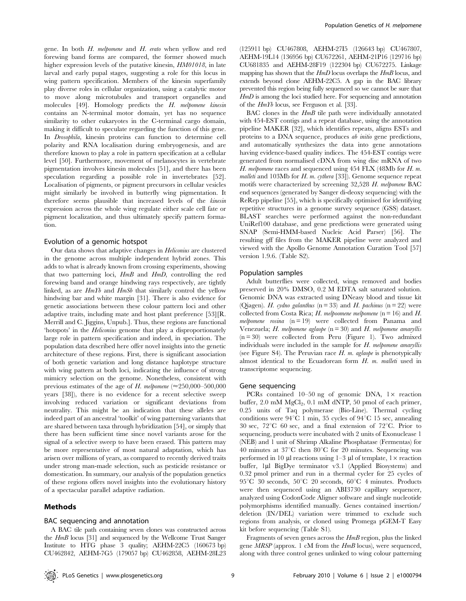gene. In both H. melpomene and H. erato when yellow and red forewing band forms are compared, the former showed much higher expression levels of the putative kinesin,  $HM01018$ , in late larval and early pupal stages, suggesting a role for this locus in wing pattern specification. Members of the kinesin superfamily play diverse roles in cellular organization, using a catalytic motor to move along microtubules and transport organelles and molecules [49]. Homology predicts the H. melpomene kinesin contains an N-terminal motor domain, yet has no sequence similarity to other eukaryotes in the C-terminal cargo domain, making it difficult to speculate regarding the function of this gene. In Drosophila, kinesin proteins can function to determine cell polarity and RNA localisation during embryogenesis, and are therefore known to play a role in pattern specification at a cellular level [50]. Furthermore, movement of melanocytes in vertebrate pigmentation involves kinesin molecules [51], and there has been speculation regarding a possible role in invertebrates [52]. Localisation of pigments, or pigment precursors in cellular vesicles might similarly be involved in butterfly wing pigmentation. It therefore seems plausible that increased levels of the kinesin expression across the whole wing regulate either scale cell fate or pigment localization, and thus ultimately specify pattern formation.

#### Evolution of a genomic hotspot

Our data shows that adaptive changes in Heliconius are clustered in the genome across multiple independent hybrid zones. This adds to what is already known from crossing experiments, showing that two patterning loci, HmB and HmD, controlling the red forewing band and orange hindwing rays respectively, are tightly linked, as are  $HmTb$  and  $HmSb$  that similarly control the yellow hindwing bar and white margin [31]. There is also evidence for genetic associations between these colour pattern loci and other adaptive traits, including mate and host plant preference [53][R. Merrill and C. Jiggins, Unpub.]. Thus, these regions are functional 'hotspots' in the Heliconius genome that play a disproportionately large role in pattern specification and indeed, in speciation. The population data described here offer novel insights into the genetic architecture of these regions. First, there is significant association of both genetic variation and long distance haplotype structure with wing pattern at both loci, indicating the influence of strong mimicry selection on the genome. Nonetheless, consistent with previous estimates of the age of H. melpomene ( $\approx$ 250,000–500,000 years [38]), there is no evidence for a recent selective sweep involving reduced variation or significant deviations from neutrality. This might be an indication that these alleles are indeed part of an ancestral 'toolkit' of wing patterning variants that are shared between taxa through hybridization [54], or simply that there has been sufficient time since novel variants arose for the signal of a selective sweep to have been erased. This pattern may be more representative of most natural adaptation, which has arisen over millions of years, as compared to recently derived traits under strong man-made selection, such as pesticide resistance or domestication. In summary, our analysis of the population genetics of these regions offers novel insights into the evolutionary history of a spectacular parallel adaptive radiation.

# Methods

# BAC sequencing and annotation

A BAC tile path containing seven clones was constructed across the HmB locus [31] and sequenced by the Wellcome Trust Sanger Institute to HTG phase 3 quality; AEHM-22C5 (160673 bp) CU462842, AEHM-7G5 (179057 bp) CU462858, AEHM-28L23

(125911 bp) CU467808, AEHM-27I5 (126643 bp) CU467807, AEHM-19L14 (136956 bp) CU672261, AEHM-21P16 (129716 bp) CU681835 and AEHM-28F19 (122304 bp) CU672275. Linkage mapping has shown that the  $HmD$  locus overlaps the  $HmB$  locus, and extends beyond clone AEHM-22C5. A gap in the BAC library prevented this region being fully sequenced so we cannot be sure that  $HmD$  is among the loci studied here. For sequencing and annotation of the HmYb locus, see Ferguson et al. [33].

BAC clones in the  $HmB$  tile path were individually annotated with 454-EST contigs and a repeat database, using the annotation pipeline MAKER [32], which identifies repeats, aligns ESTs and proteins to a DNA sequence, produces ab initio gene predictions, and automatically synthesizes the data into gene annotations having evidence-based quality indices. The 454-EST contigs were generated from normalised cDNA from wing disc mRNA of two H. melpomene races and sequenced using 454 FLX (48Mb for H. m. malleti and 103Mb for H. m. cythera [33]). Genome sequence repeat motifs were characterized by screening 32,528 H. melpomene BAC end sequences (generated by Sanger di-deoxy sequencing) with the ReRep pipeline [55], which is specifically optimised for identifying repetitive structures in a genome survey sequence (GSS) dataset. BLAST searches were performed against the non-redundant UniRef100 database, and gene predictions were generated using SNAP (Semi-HMM-based Nucleic Acid Parser) [56]. The resulting gff files from the MAKER pipeline were analyzed and viewed with the Apollo Genome Annotation Curation Tool [57] version 1.9.6. (Table S2).

#### Population samples

Adult butterflies were collected, wings removed and bodies preserved in 20% DMSO, 0.2 M EDTA salt saturated solution. Genomic DNA was extracted using DNeasy blood and tissue kit (Qiagen). H. cydno galanthus ( $n = 33$ ) and H. pachinus ( $n = 22$ ) were collected from Costa Rica; H. melpoomene melpomene ( $n = 16$ ) and H. melpomene rosina  $(n = 19)$  were collected from Panama and Venezuela; H. melpomene aglaope  $(n = 30)$  and H. melpomene amaryllis (n = 30) were collected from Peru (Figure 1). Two admixed individuals were included in the sample for H. melpomene amaryllis (see Figure S4). The Peruvian race  $H$ . m. aglaope is phenotypically almost identical to the Ecuadorean form  $H$ . m. malleti used in transcriptome sequencing.

#### Gene sequencing

PCRs contained 10–50 ng of genomic DNA,  $1 \times$  reaction buffer,  $2.0 \text{ mM } MgCl<sub>2</sub>$ ,  $0.1 \text{ mM } dNTP$ ,  $50 \text{ pmol }$  of each primer, 0.25 units of Taq polymerase (Bio-Line). Thermal cycling conditions were  $94^{\circ}C$  1 min, 35 cycles of  $94^{\circ}C$  15 sec, annealing 30 sec,  $72^{\circ}$ C 60 sec, and a final extension of  $72^{\circ}$ C. Prior to sequencing, products were incubated with 2 units of Exonuclease 1 (NEB) and 1 unit of Shrimp Alkaline Phosphatase (Fermentas) for 40 minutes at  $37^{\circ}$ C then  $80^{\circ}$ C for 20 minutes. Sequencing was performed in 10  $\mu$ l reactions using 1–3  $\mu$ l of template, 1 $\times$  reaction buffer, 1µl BigDye terminator v3.1 (Applied Biosystems) and 0.32 pmol primer and run in a thermal cycler for 25 cycles of  $95^{\circ}$ C 30 seconds,  $50^{\circ}$ C 20 seconds,  $60^{\circ}$ C 4 minutes. Products were then sequenced using an ABI3730 capillary sequencer, analyzed using CodonCode Aligner software and single nucleotide polymorphisms identified manually. Genes contained insertion/ deletion (IN/DEL) variation were trimmed to exclude such regions from analysis, or cloned using Promega pGEM-T Easy kit before sequencing (Table S1).

Fragments of seven genes across the HmB region, plus the linked gene  $MRSP$  (approx. 1 cM from the  $HmB$  locus), were sequenced, along with three control genes unlinked to wing colour patterning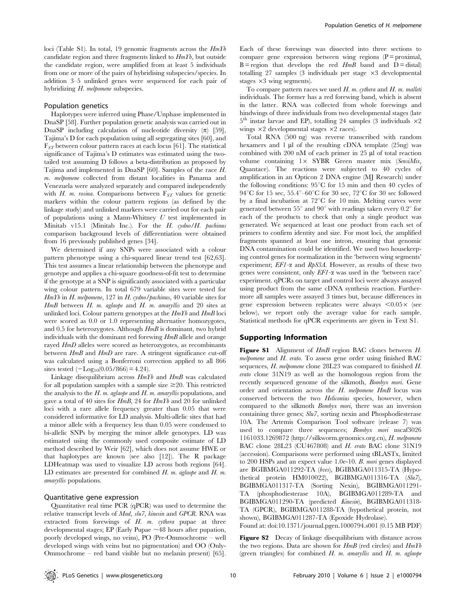loci (Table S1). In total, 19 genomic fragments across the  $HmYb$ candidate region and three fragments linked to  $HmTb$ , but outside the candidate region, were amplified from at least 5 individuals from one or more of the pairs of hybridising subspecies/species. In addition 3–5 unlinked genes were sequenced for each pair of hybridizing H. melpomene subspecies.

#### Population genetics

Haplotypes were inferred using Phase/Unphase implemented in DnaSP [58]. Further population genetic analysis was carried out in DnaSP including calculation of nucleotide diversity  $(\pi)$  [59], Tajima's D for each population using all segregating sites [60], and  $F_{ST}$  between colour pattern races at each locus [61]. The statistical significance of Tajima's D estimates was estimated using the twotailed test assuming D follows a beta-distribution as proposed by Tajima and implemented in DnaSP [60]. Samples of the race H. m. melpomene collected from distant localities in Panama and Venezuela were analyzed separately and compared independently with H. m. rosina. Comparisons between  $F_{ST}$  values for genetic markers within the colour pattern regions (as defined by the linkage study) and unlinked markers were carried out for each pair of populations using a Mann-Whitney  $U$  test implemented in Minitab v15.1 (Minitab Inc.). For the H. cydno/H. pachinus comparison background levels of differentiation were obtained from 16 previously published genes [34].

We determined if any SNPs were associated with a colour pattern phenotype using a chi-squared linear trend test [62,63]. This test assumes a linear relationship between the phenotype and genotype and applies a chi-square goodness-of-fit test to determine if the genotype at a SNP is significantly associated with a particular wing colour pattern. In total 679 variable sites were tested for HmYb in H. melpomene, 127 in H. cydno/pachinus, 40 variable sites for  $HmB$  between  $H$ . m. aglaope and  $H$ . m. amaryllis and 20 sites at unlinked loci. Colour pattern genotypes at the  $HmTb$  and  $HmB$  loci were scored as 0.0 or 1.0 representing alternative homozygotes, and 0.5 for heterozygotes. Although  $HmB$  is dominant, two hybrid individuals with the dominant red forewing  $HmB$  allele and orange rayed HmD alleles were scored as heterozygotes, as recombinants between HmB and HmD are rare. A stringent significance cut-off was calculated using a Bonferroni correction applied to all 866 sites tested  $(-Log_{10}(0.05/866) = 4.24)$ .

Linkage disequilibrium across  $HmTb$  and  $HmB$  was calculated for all population samples with a sample size  $\geq 20$ . This restricted the analysis to the  $H$ . m. aglaope and  $H$ . m. amaryllis populations, and gave a total of 40 sites for HmB, 24 for HmYb and 20 for unlinked loci with a rare allele frequency greater than 0.05 that were considered informative for LD analysis. Multi-allelic sites that had a minor allele with a frequency less than 0.05 were condensed to bi-allelic SNPs by merging the minor allele genotypes. LD was estimated using the commonly used composite estimate of LD method described by Weir [62], which does not assume HWE or that haplotypes are known (see also [12]). The R package LDHeatmap was used to visualize LD across both regions [64]. LD estimates are presented for combined  $H$ . m. aglaope and  $H$ . m. amaryllis populations.

#### Quantitative gene expression

Quantitative real time PCR (qPCR) was used to determine the relative transcript levels of Mad, slu7, kinesin and GPCR. RNA was extracted from forewings of  $H$ .  $m$ . cythera pupae at three developmental stages; EP (Early Pupae  $\sim$  48 hours after pupation, poorly developed wings, no veins), PO (Pre-Ommochrome – well developed wings with veins but no pigmentation) and OO (Only-Ommochrome – red band visible but no melanin present) [65]. Each of these forewings was dissected into three sections to compare gene expression between wing regions  $(P = proximal)$ ,  $B =$  region that develops the red  $HmB$  band and  $D =$  distal) totalling 27 samples (3 individuals per stage  $\times$ 3 developmental stages  $\times 3$  wing segments).

To compare pattern races we used  $H$ . m. cythera and  $H$ . m. malleti individuals. The former has a red forewing band, which is absent in the latter. RNA was collected from whole forewings and hindwings of three individuals from two developmental stages (late  $5<sup>th</sup>$  instar larvae and EP), totalling 24 samples (3 individuals  $\times 2$ wings  $\times 2$  developmental stages  $\times 2$  races).

Total RNA (500 ng) was reverse transcribed with random hexamers and  $1 \mu l$  of the resulting cDNA template (25ng) was combined with 200 nM of each primer in 25  $\mu$ l of total reaction volume containing  $1 \times$  SYBR Green master mix (SensiMix, Quantace). The reactions were subjected to 40 cycles of amplification in an Opticon 2 DNA engine (MJ Research) under the following conditions:  $95^{\circ}$ C for 15 min and then 40 cycles of 94 $^{\circ}$ C for 15 sec, 55.4 $^{\circ}$ –60 $^{\circ}$ C for 30 sec, 72 $^{\circ}$ C for 30 sec followed by a final incubation at  $72^{\circ}$ C for 10 min. Melting curves were generated between  $55^{\circ}$  and  $90^{\circ}$  with readings taken every  $0.2^{\circ}$  for each of the products to check that only a single product was generated. We sequenced at least one product from each set of primers to confirm identity and size. For most loci, the amplified fragments spanned at least one intron, ensuring that genomic DNA contamination could be identified. We used two housekeeping control genes for normalization in the 'between wing segments' experiment;  $EFI$ - $\alpha$  and  $RpS3A$ . However, as results of these two genes were consistent, only  $EFI-\alpha$  was used in the 'between race' experiment. qPCRs on target and control loci were always assayed using product from the same cDNA synthesis reaction. Furthermore all samples were assayed 3 times but, because differences in gene expression between replicates were always  $\leq 0.05 \times$  (see below), we report only the average value for each sample. Statistical methods for qPCR experiments are given in Text S1.

#### Supporting Information

Figure S1 Alignment of  $HmB$  region BAC clones between H. melpomene and H. erato. To assess gene order using finished BAC sequences, H. melpomene clone 28L23 was compared to finished H. erato clone 31N19 as well as the homologous region from the recently sequenced genome of the silkmoth, Bombyx mori. Gene order and orientation across the H. melpomene HmB locus was conserved between the two Heliconius species, however, when compared to the silkmoth Bombyx mori, there was an inversion containing three genes; Slu7, sorting nexin and Phosphodiesterase 10A. The Artemis Comparison Tool software (release 7) was used to compare three sequences; Bombyx mori nscaf3026 1161033.1269872 (http://silkworm.genomics.org.cn), H. melpomene BAC clone 28L23 (CU467808) and H. erato BAC clone 31N19 (accession). Comparisons were performed using tBLASTx, limited to 200 HSPs and an expect value 1.0e-10. B. mori genes displayed are BGIBMGA011292-TA (bves), BGIBMGA011315-TA (Hypothetical protein HM010022), BGIBMGA011316-TA (Slu7), BGIBMGA011317-TA (Sorting Nexin), BGIBMGA011291- TA (phosphodiesterase 10A), BGIBMGA011289-TA and BGIBMGA011290-TA (predicted Kinesin), BGIBMGA011318- TA (GPCR), BGIBMGA011288-TA (hypothetical protein, not shown), BGIBMGA011287-TA (Epoxide Hydrolase).

Found at: doi:10.1371/journal.pgen.1000794.s001 (0.15 MB PDF)

Figure S2 Decay of linkage disequilibrium with distance across the two regions. Data are shown for  $HmB$  (red circles) and  $HmYb$ (green triangles) for combined  $H$ . m. amaryllis and  $H$ . m. aglaope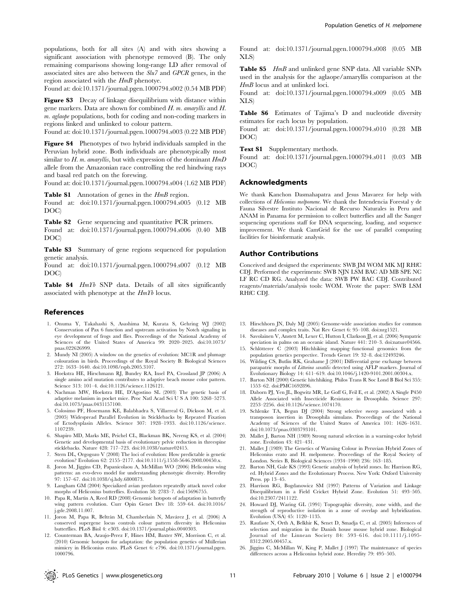populations, both for all sites (A) and with sites showing a significant association with phenotype removed (B). The only remaining comparisons showing long-range LD after removal of associated sites are also between the Slu7 and GPCR genes, in the region associated with the  $HmB$  phenotye.

Found at: doi:10.1371/journal.pgen.1000794.s002 (0.54 MB PDF)

Figure S3 Decay of linkage disequilibrium with distance within gene markers. Data are shown for combined  $H$ . m. amaryllis and  $H$ . m. aglaope populations, both for coding and non-coding markers in regions linked and unlinked to colour pattern.

Found at: doi:10.1371/journal.pgen.1000794.s003 (0.22 MB PDF)

Figure S4 Phenotypes of two hybrid individuals sampled in the Peruvian hybrid zone. Both individuals are phenotypically most similar to  $H$ . m. amaryllis, but with expression of the dominant  $HmD$ allele from the Amazonian race controlling the red hindwing rays and basal red patch on the forewing.

Found at: doi:10.1371/journal.pgen.1000794.s004 (1.62 MB PDF)

Table S1 Annotation of genes in the  $HmB$  region.

Found at: doi:10.1371/journal.pgen.1000794.s005 (0.12 MB DOC)

Table S2 Gene sequencing and quantitative PCR primers.

Found at: doi:10.1371/journal.pgen.1000794.s006 (0.40 MB DOC)

Table S3 Summary of gene regions sequenced for population genetic analysis.

Found at: doi:10.1371/journal.pgen.1000794.s007 (0.12 MB DOC)

Table S4 HmYb SNP data. Details of all sites significantly associated with phenotype at the  $HmYb$  locus.

#### References

- 1. Onuma Y, Takahashi S, Asashima M, Kurata S, Gehring WJ (2002) Conservation of Pax 6 function and upstream activation by Notch signaling in eye development of frogs and flies. Proceedings of the National Academy of Sciences of the United States of America 99: 2020–2025. doi:10.1073/ pnas.022626999.
- 2. Mundy NI (2005) A window on the genetics of evolution: MC1R and plumage colouration in birds. Proceedings of the Royal Society B: Biological Sciences 272: 1633–1640. doi:10.1098/rspb.2005.3107.
- 3. Hoekstra HE, Hirschmann RJ, Bundey RA, Insel PA, Crossland JP (2006) A single amino acid mutation contributes to adaptive beach mouse color pattern. Science 313: 101–4. doi:10.1126/science.1126121.
- 4. Nachman MW, Hoekstra HE, D'Agostino SL (2003) The genetic basis of adaptive melanism in pocket mice. Proc Natl Acad Sci U S A 100: 5268–5273. doi:10.1073/pnas.0431157100.
- 5. Colosimo PF, Hosemann KE, Balabhadra S, Villarreal G, Dickson M, et al. (2005) Widespread Parallel Evolution in Sticklebacks by Repeated Fixation of Ectodysplasin Alleles. Science 307: 1928–1933. doi:10.1126/science. 1107239.
- 6. Shapiro MD, Marks ME, Peichel CL, Blackman BK, Nereng KS, et al. (2004) Genetic and developmental basis of evolutionary pelvic reduction in threespine sticklebacks. Nature 428: 717–723. doi:10.1038/nature02415.
- 7. Stern DL, Orgogozo V (2008) The loci of evolution: How predictable is genetic evolution? Evolution 62: 2155–2177. doi:10.1111/j.1558-5646.2008.00450.x.
- 8. Joron M, Jiggins CD, Papanicolaou A, McMillan WO (2006) Heliconius wing patterns: an evo-devo model for understanding phenotypic diversity. Heredity 97: 157–67. doi:10.1038/sj.hdy.6800873.
- 9. Langham GM (2004) Specialized avian predators repeatedly attack novel color morphs of Heliconius butterflies. Evolution 58: 2783–7. doi:15696755.
- 10. Papa R, Martin A, Reed RD (2008) Genomic hotspots of adaptation in butterfly wing pattern evolution. Curr Opin Genet Dev 18: 559–64. doi:10.1016/ j.gde.2008.11.007.
- 11. Joron M, Papa R, Beltrán M, Chamberlain N, Mavárez J, et al. (2006) A conserved supergene locus controls colour pattern diversity in Heliconius butterflies. PLoS Biol 4: e303. doi:10.1371/journal.pbio.0040303.
- 12. Counterman BA, Araujo-Perez F, Hines HM, Baxter SW, Morrison C, et al.  $(2010)$  Genomic hotspots for adaptation: the population genetics of Müllerian mimicry in Heliconius erato. PLoS Genet 6: e796. doi:10.1371/journal.pgen. 1000796.

Found at: doi:10.1371/journal.pgen.1000794.s008 (0.05 MB XLS)

Table S5 HmB and unlinked gene SNP data. All variable SNPs used in the analysis for the aglaope/amaryllis comparison at the HmB locus and at unlinked loci.

Found at: doi:10.1371/journal.pgen.1000794.s009 (0.05 MB XLS)

Table S6 Estimates of Tajima's D and nucleotide diversity estimates for each locus by population.

Found at: doi:10.1371/journal.pgen.1000794.s010 (0.28 MB DOC)

#### Text S1 Supplementary methods.

Found at: doi:10.1371/journal.pgen.1000794.s011 (0.03 MB DOC)

# Acknowledgments

We thank Kanchon Dasmahapatra and Jesus Mavarez for help with collections of Heliconius melpomene. We thank the Intendencia Forestal y de Fauna Silvestre Instituto Nacional de Recurso Naturales in Peru and ANAM in Panama for permission to collect butterflies and all the Sanger sequencing operations staff for DNA sequencing, loading, and sequence improvement. We thank CamGrid for the use of parallel computing facilities for bioinformatic analysis.

#### Author Contributions

Conceived and designed the experiments: SWB JM WOM MK MJ RHfC CDJ. Performed the experiments: SWB NJN LSM BAC AD MB SPE NC LF RC CD RG. Analyzed the data: SWB PW BAC CDJ. Contributed reagents/materials/analysis tools: WOM. Wrote the paper: SWB LSM RHfC CDJ.

- 13. Hirschhorn JN, Daly MJ (2005) Genome-wide association studies for common diseases and complex traits. Nat Rev Genet 6: 95–108. doi:nrg1521.
- 14. Savolainen V, Anstett M, Lexer C, Hutton I, Clarkson JJ, et al. (2006) Sympatric speciation in palms on an oceanic island. Nature 441: 210-3. doi:nature04566.
- 15. Schlötterer C (2003) Hitchhiking mapping–functional genomics from the population genetics perspective. Trends Genet 19: 32–8. doi:12493246.
- 16. Wilding CS, Butlin RK, Grahame J (2001) Differential gene exchange between parapatric morphs of Littorina saxatilis detected using AFLP markers. Journal of Evolutionary Biology 14: 611–619. doi:10.1046/j.1420-9101.2001.00304.x.
- 17. Barton NH (2000) Genetic hitchhiking. Philos Trans R Soc Lond B Biol Sci 355: 1553–62. doi:PMC1692896.
- 18. Daborn PJ, Yen JL, Bogwitz MR, Le Goff G, Feil E, et al. (2002) A Single P450 Allele Associated with Insecticide Resistance in Drosophila. Science 297: 2253–2256. doi:10.1126/science.1074170.
- 19. Schlenke TA, Begun DJ (2004) Strong selective sweep associated with a transposon insertion in Drosophila simulans. Proceedings of the National Academy of Sciences of the United States of America 101: 1626–1631. doi:10.1073/pnas.0303793101.
- 20. Mallet J, Barton NH (1989) Strong natural selection in a warning-color hybrid zone. Evolution 43: 421–431.
- 21. Mallet J (1989) The Genetics of Warning Colour in Peruvian Hybrid Zones of Heliconius erato and H. melpomene. Proceedings of the Royal Society of London. Series B, Biological Sciences (1934–1990) 236: 163–185.
- 22. Barton NH, Gale KS (1993) Genetic analysis of hybrid zones. In: Harrison RG, ed. Hybrid Zones and the Evolutionary Process. New York: Oxford University Press. pp 13–45.
- 23. Harrison RG, Bogdanowicz SM (1997) Patterns of Variation and Linkage Disequilibrium in a Field Cricket Hybrid Zone. Evolution 51: 493–505. doi:10.2307/2411122.
- 24. Howard DJ, Waring GL (1991) Topographic diversity, zone width, and the strength of reproductive isolation in a zone of overlap and hybridization. Evolution (USA) 45: 1120–1135.
- 25. Raufaste N, Orth A, Belkhir K, Senet D, Smadja C, et al. (2005) Inferences of selection and migration in the Danish house mouse hybrid zone. Biological Journal of the Linnean Society 84: 593–616. doi:10.1111/j.1095- 8312.2005.00457.x.
- 26. Jiggins C, McMillan W, King P, Mallet J (1997) The maintenance of species differences across a Heliconius hybrid zone. Heredity 79: 495–505.